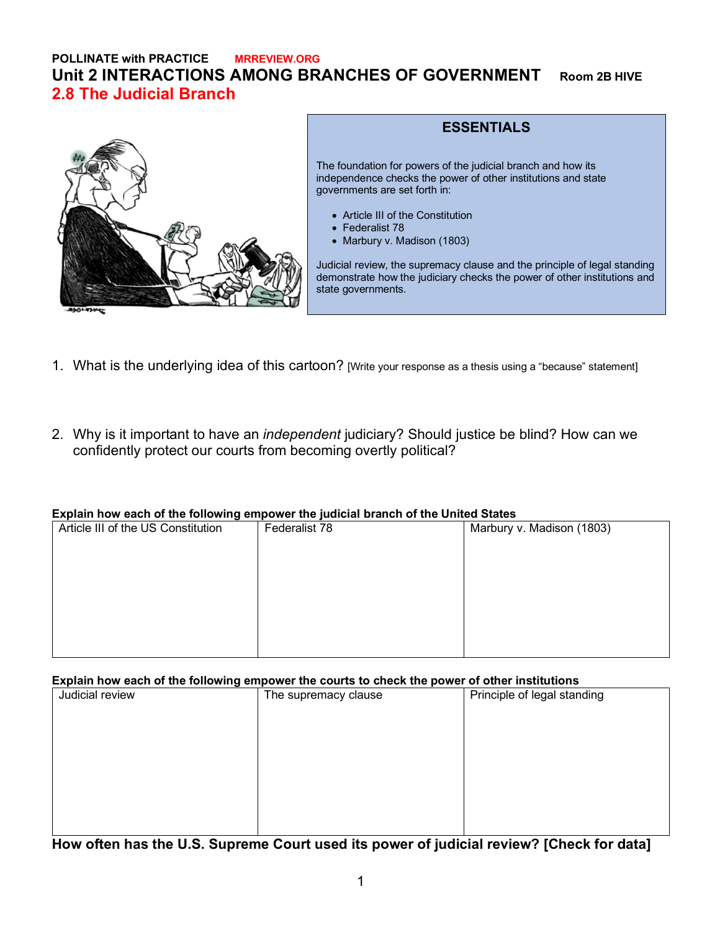## **POLLINATE with PRACTICE MRREVIEW.ORG Unit 2 INTERACTIONS AMONG BRANCHES OF GOVERNMENT Room 2B HIVE 2.8 The Judicial Branch**



### **ESSENTIALS**

The foundation for powers of the judicial branch and how its independence checks the power of other institutions and state governments are set forth in:

- Article III of the Constitution
- Federalist 78
- Marbury v. Madison (1803)

Judicial review, the supremacy clause and the principle of legal standing demonstrate how the judiciary checks the power of other institutions and state governments.

- 1. What is the underlying idea of this cartoon? [Write your response as a thesis using a "because" statement]
- 2. Why is it important to have an *independent* judiciary? Should justice be blind? How can we confidently protect our courts from becoming overtly political?

#### **Explain how each of the following empower the judicial branch of the United States**

| . .                                |               |                           |
|------------------------------------|---------------|---------------------------|
| Article III of the US Constitution | Federalist 78 | Marbury v. Madison (1803) |
|                                    |               |                           |
|                                    |               |                           |
|                                    |               |                           |
|                                    |               |                           |
|                                    |               |                           |
|                                    |               |                           |
|                                    |               |                           |
|                                    |               |                           |
|                                    |               |                           |
|                                    |               |                           |
|                                    |               |                           |

### **Explain how each of the following empower the courts to check the power of other institutions**

| .<br>--------------- |                      |                             |
|----------------------|----------------------|-----------------------------|
| Judicial review      | The supremacy clause | Principle of legal standing |
|                      |                      |                             |
|                      |                      |                             |
|                      |                      |                             |
|                      |                      |                             |
|                      |                      |                             |
|                      |                      |                             |
|                      |                      |                             |
|                      |                      |                             |

**How often has the U.S. Supreme Court used its power of judicial review? [Check for data]**